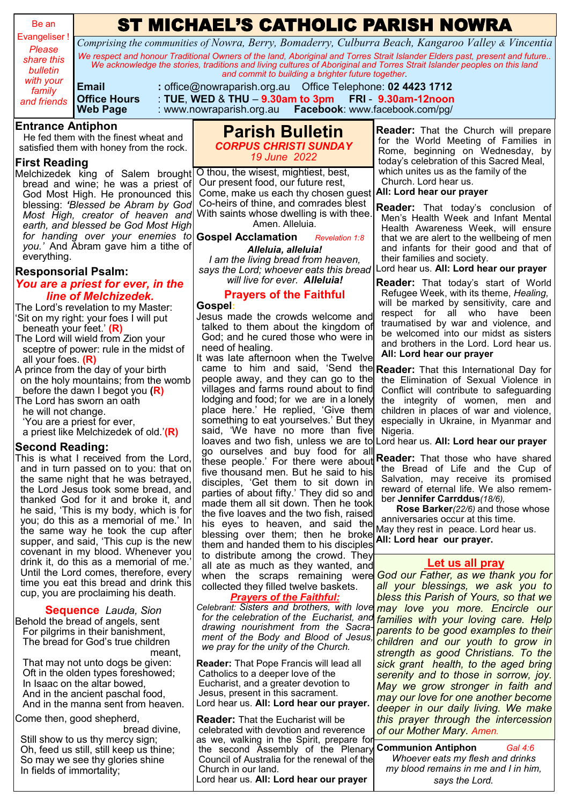| Be an                                                                        |                                                                                                                                                                                | ST MICHAEL'S CATHOLIC PARISH NOWRA                                                                     |                                                                                                                      |  |
|------------------------------------------------------------------------------|--------------------------------------------------------------------------------------------------------------------------------------------------------------------------------|--------------------------------------------------------------------------------------------------------|----------------------------------------------------------------------------------------------------------------------|--|
| <b>Evangeliser!</b>                                                          | Comprising the communities of Nowra, Berry, Bomaderry, Culburra Beach, Kangaroo Valley & Vincentia                                                                             |                                                                                                        |                                                                                                                      |  |
| Please<br>share this                                                         | We respect and honour Traditional Owners of the land, Aboriginal and Torres Strait Islander Elders past, present and future                                                    |                                                                                                        |                                                                                                                      |  |
| bulletin                                                                     | We acknowledge the stories, traditions and living cultures of Aboriginal and Torres Strait Islander peoples on this land<br>and commit to building a brighter future together. |                                                                                                        |                                                                                                                      |  |
| with your                                                                    | <b>Email</b>                                                                                                                                                                   |                                                                                                        |                                                                                                                      |  |
| family<br>and friends                                                        | <b>Office Hours</b>                                                                                                                                                            | : TUE, WED $&$ THU $-$ 9.30am to 3pm FRI $-$ 9.30am-12noon                                             |                                                                                                                      |  |
|                                                                              | <b>Web Page</b>                                                                                                                                                                | <b>Facebook:</b> www.facebook.com/pg/<br>: www.nowraparish.org.au                                      |                                                                                                                      |  |
| <b>Entrance Antiphon</b>                                                     |                                                                                                                                                                                | <b>Parish Bulletin</b>                                                                                 | <b>Reader:</b> That the Church will prepare                                                                          |  |
| He fed them with the finest wheat and                                        |                                                                                                                                                                                | <b>CORPUS CHRISTI SUNDAY</b>                                                                           | for the World Meeting of Families in                                                                                 |  |
| satisfied them with honey from the rock.                                     |                                                                                                                                                                                | 19 June 2022                                                                                           | Rome, beginning on Wednesday, by<br>today's celebration of this Sacred Meal,                                         |  |
| <b>First Reading</b><br>Melchizedek king of Salem brought                    |                                                                                                                                                                                | O thou, the wisest, mightiest, best,                                                                   | which unites us as the family of the                                                                                 |  |
|                                                                              | bread and wine; he was a priest of                                                                                                                                             | Our present food, our future rest,                                                                     | Church. Lord hear us.                                                                                                |  |
| God Most High. He pronounced this                                            |                                                                                                                                                                                | Come, make us each thy chosen guest All: Lord hear our prayer<br>Co-heirs of thine, and comrades blest |                                                                                                                      |  |
| blessing: 'Blessed be Abram by God<br>Most High, creator of heaven and       |                                                                                                                                                                                | With saints whose dwelling is with thee.                                                               | Reader: That today's conclusion of                                                                                   |  |
| earth, and blessed be God Most High                                          |                                                                                                                                                                                | Amen. Alleluia.                                                                                        | Men's Health Week and Infant Mental<br>Health Awareness Week, will ensure                                            |  |
| for handing over your enemies to                                             |                                                                                                                                                                                | <b>Gospel Acclamation</b><br><b>Revelation 1:8</b>                                                     | that we are alert to the wellbeing of men                                                                            |  |
| you.' And Abram gave him a tithe of<br>everything.                           |                                                                                                                                                                                | Alleluia, alleluia!                                                                                    | and infants for their good and that of                                                                               |  |
| <b>Responsorial Psalm:</b>                                                   |                                                                                                                                                                                | I am the living bread from heaven,<br>says the Lord; whoever eats this bread                           | their families and society.<br>Lord hear us. All: Lord hear our prayer                                               |  |
|                                                                              | You are a priest for ever, in the                                                                                                                                              | will live for ever. Alleluia!                                                                          | <b>Reader:</b> That today's start of World                                                                           |  |
|                                                                              | line of Melchizedek.                                                                                                                                                           | <b>Prayers of the Faithful</b>                                                                         | Refugee Week, with its theme, Healing,                                                                               |  |
| The Lord's revelation to my Master:                                          |                                                                                                                                                                                | Gospel:                                                                                                | will be marked by sensitivity, care and                                                                              |  |
| Sit on my right: your foes I will put                                        |                                                                                                                                                                                | Jesus made the crowds welcome and                                                                      | respect for all who have been<br>traumatised by war and violence, and                                                |  |
| beneath your feet.' $(R)$                                                    |                                                                                                                                                                                | talked to them about the kingdom of<br>God; and he cured those who were in                             | be welcomed into our midst as sisters                                                                                |  |
| The Lord will wield from Zion your<br>sceptre of power: rule in the midst of |                                                                                                                                                                                | need of healing.                                                                                       | and brothers in the Lord. Lord hear us.                                                                              |  |
| all your foes. $(R)$                                                         |                                                                                                                                                                                | It was late afternoon when the Twelve                                                                  | All: Lord hear our prayer                                                                                            |  |
| A prince from the day of your birth                                          |                                                                                                                                                                                | people away, and they can go to the                                                                    | came to him and said, 'Send the Reader: That this International Day for<br>the Elimination of Sexual Violence in     |  |
| on the holy mountains; from the womb<br>before the dawn I begot you $(R)$    |                                                                                                                                                                                | villages and farms round about to find                                                                 | Conflict will contribute to safeguarding                                                                             |  |
| The Lord has sworn an oath                                                   |                                                                                                                                                                                | lodging and food; for we are in a lonely                                                               | the integrity of women, men and                                                                                      |  |
| he will not change.                                                          |                                                                                                                                                                                | place here.' He replied, 'Give them                                                                    | children in places of war and violence,                                                                              |  |
| 'You are a priest for ever,<br>a priest like Melchizedek of old.'(R)         |                                                                                                                                                                                | something to eat yourselves.' But they<br>said, 'We have no more than five Nigeria.                    | especially in Ukraine, in Myanmar and                                                                                |  |
|                                                                              |                                                                                                                                                                                |                                                                                                        | loaves and two fish, unless we are to Lord hear us. All: Lord hear our prayer                                        |  |
| <b>Second Reading:</b><br>This is what I received from the Lord,             |                                                                                                                                                                                | go ourselves and buy food for all                                                                      | <b>Reader:</b> That those who have shared                                                                            |  |
| and in turn passed on to you: that on                                        |                                                                                                                                                                                | these people.' For there were about<br>five thousand men. But he said to his                           | the Bread of Life and the Cup of                                                                                     |  |
| the same night that he was betrayed,                                         |                                                                                                                                                                                | disciples, 'Get them to sit down in                                                                    | Salvation, may receive its promised                                                                                  |  |
| the Lord Jesus took some bread, and<br>thanked God for it and broke it, and  |                                                                                                                                                                                | parties of about fifty.' They did so and                                                               | reward of eternal life. We also remem-<br>ber Jennifer Carrddus(18/6),                                               |  |
| he said, 'This is my body, which is for                                      |                                                                                                                                                                                | made them all sit down. Then he took<br>the five loaves and the two fish, raised                       | Rose Barker(22/6) and those whose                                                                                    |  |
| you; do this as a memorial of me.' In                                        |                                                                                                                                                                                | his eyes to heaven, and said the                                                                       | anniversaries occur at this time.                                                                                    |  |
| the same way he took the cup after<br>supper, and said, 'This cup is the new |                                                                                                                                                                                | blessing over them; then he broke                                                                      | May they rest in peace. Lord hear us.<br>All: Lord hear our prayer.                                                  |  |
| covenant in my blood. Whenever you                                           |                                                                                                                                                                                | them and handed them to his disciples                                                                  |                                                                                                                      |  |
| drink it, do this as a memorial of me.'                                      |                                                                                                                                                                                | to distribute among the crowd. They<br>all ate as much as they wanted, and                             | <u>Let us all pray</u>                                                                                               |  |
|                                                                              | Until the Lord comes, therefore, every                                                                                                                                         |                                                                                                        | when the scraps remaining were God our Father, as we thank you for                                                   |  |
|                                                                              | time you eat this bread and drink this<br>cup, you are proclaiming his death.                                                                                                  | collected they filled twelve baskets.                                                                  | all your blessings, we ask you to                                                                                    |  |
|                                                                              |                                                                                                                                                                                | <b>Prayers of the Faithful:</b>                                                                        | bless this Parish of Yours, so that we<br>Celebrant: Sisters and brothers, with love may love you more. Encircle our |  |
|                                                                              | <b>Sequence</b> Lauda, Sion<br>Behold the bread of angels, sent                                                                                                                |                                                                                                        | for the celebration of the Eucharist, and families with your loving care. Help                                       |  |
| For pilgrims in their banishment,                                            |                                                                                                                                                                                | drawing nourishment from the Sacra-                                                                    | parents to be good examples to their                                                                                 |  |
| The bread for God's true children                                            |                                                                                                                                                                                | ment of the Body and Blood of Jesus,<br>we pray for the unity of the Church.                           | children and our youth to grow in                                                                                    |  |
| meant.                                                                       |                                                                                                                                                                                |                                                                                                        | strength as good Christians. To the                                                                                  |  |
| That may not unto dogs be given:<br>Oft in the olden types foreshowed;       |                                                                                                                                                                                | <b>Reader:</b> That Pope Francis will lead all<br>Catholics to a deeper love of the                    | sick grant health, to the aged bring<br>serenity and to those in sorrow, joy.                                        |  |
| In Isaac on the altar bowed,                                                 |                                                                                                                                                                                | Eucharist, and a greater devotion to                                                                   | May we grow stronger in faith and                                                                                    |  |
| And in the ancient paschal food,                                             |                                                                                                                                                                                | Jesus, present in this sacrament.                                                                      | may our love for one another become                                                                                  |  |
|                                                                              | And in the manna sent from heaven.                                                                                                                                             | Lord hear us. All: Lord hear our prayer.                                                               | deeper in our daily living. We make                                                                                  |  |
|                                                                              | Come then, good shepherd,<br>bread divine,                                                                                                                                     | <b>Reader: That the Eucharist will be</b>                                                              | this prayer through the intercession                                                                                 |  |
|                                                                              |                                                                                                                                                                                | celebrated with devotion and reverence                                                                 | of our Mother Mary. Amen.                                                                                            |  |

as we, walking in the Spirit, prepare for the second Assembly of the Plenary Council of Australia for the renewal of the

Lord hear us. **All: Lord hear our prayer**

Church in our land.

bread divine, Still show to us thy mercy sign; Oh, feed us still, still keep us thine; So may we see thy glories shine In fields of immortality;

#### *Whoever eats my flesh and drinks my blood remains in me and I in him,*

**Communion Antiphon** *Gal 4:6* 

*says the Lord.*